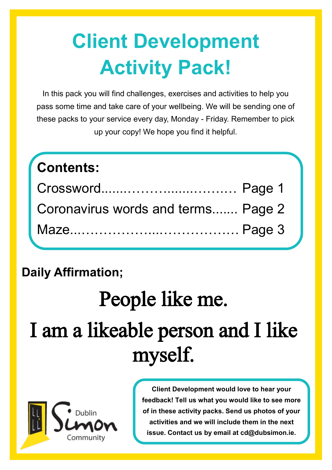## **Client Development Activity Pack!**

In this pack you will find challenges, exercises and activities to help you pass some time and take care of your wellbeing. We will be sending one of these packs to your service every day, Monday - Friday. Remember to pick up your copy! We hope you find it helpful.

| <b>Contents:</b>                   |  |
|------------------------------------|--|
| Crossword Page 1                   |  |
| Coronavirus words and terms Page 2 |  |
|                                    |  |

## **Daily Affirmation;**

# People like me. I am a likeable person and I like myself.



**Client Development would love to hear your feedback! Tell us what you would like to see more of in these activity packs. Send us photos of your activities and we will include them in the next issue. Contact us by email at cd@dubsimon.ie.**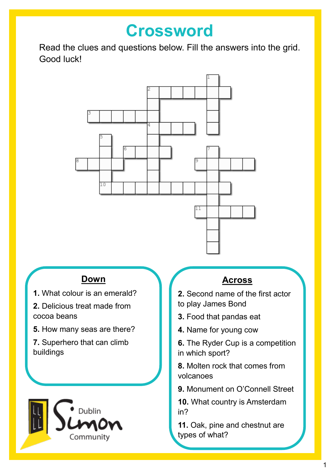## **Crossword**

Read the clues and questions below. Fill the answers into the grid. Good luck!



#### **Down**

- **1.** What colour is an emerald?
- **2.** Delicious treat made from cocoa beans
- **5.** How many seas are there?
- **7.** Superhero that can climb buildings



#### **Across**

- **2.** Second name of the first actor to play James Bond
- **3.** Food that pandas eat
- **4.** Name for young cow
- **6.** The Ryder Cup is a competition in which sport?

**8.** Molten rock that comes from volcanoes

**9.** Monument on O'Connell Street

**10.** What country is Amsterdam in?

**11.** Oak, pine and chestnut are types of what?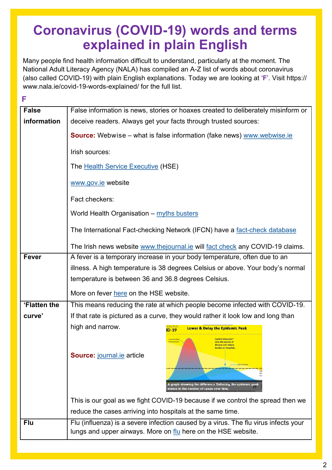## **Coronavirus (COVID-19) words and terms explained in plain English**

Many people find health information difficult to understand, particularly at the moment. The National Adult Literacy Agency (NALA) has compiled an A-Z list of words about coronavirus (also called COVID-19) with plain English explanations. Today we are looking at '**F**'. Visit https:// www.nala.ie/covid-19-words-explained/ for the full list.

| F            |                                                                                                                                                      |
|--------------|------------------------------------------------------------------------------------------------------------------------------------------------------|
| <b>False</b> | False information is news, stories or hoaxes created to deliberately misinform or                                                                    |
| information  | deceive readers. Always get your facts through trusted sources:                                                                                      |
|              | <b>Source:</b> Webwise – what is false information (fake news) www.webwise.ie                                                                        |
|              | Irish sources:                                                                                                                                       |
|              | The Health Service Executive (HSE)                                                                                                                   |
|              | www.gov.ie website                                                                                                                                   |
|              | Fact checkers:                                                                                                                                       |
|              | World Health Organisation - myths busters                                                                                                            |
|              | The International Fact-checking Network (IFCN) have a fact-check database                                                                            |
|              | The Irish news website www.thejournal.ie will fact check any COVID-19 claims.                                                                        |
| <b>Fever</b> | A fever is a temporary increase in your body temperature, often due to an                                                                            |
|              | illness. A high temperature is 38 degrees Celsius or above. Your body's normal                                                                       |
|              | temperature is between 36 and 36.8 degrees Celsius.                                                                                                  |
|              | More on fever here on the HSE website.                                                                                                               |
| 'Flatten the | This means reducing the rate at which people become infected with COVID-19.                                                                          |
| curve'       | If that rate is pictured as a curve, they would rather it look low and long than                                                                     |
|              | high and narrow.<br><b>Lower &amp; Delay the Epidemic Peak</b><br>$ID-19$                                                                            |
|              | <b>Control measures</b><br>slow the spread of<br>disease and reduce<br>burden on hospitals.<br><b>Source: journal.ie article</b><br>with control     |
|              | A graph showing the difference flattening the epidemic peak<br>makes in the number of cases over time.                                               |
|              | This is our goal as we fight COVID-19 because if we control the spread then we                                                                       |
|              | reduce the cases arriving into hospitals at the same time.                                                                                           |
| Flu          | Flu (influenza) is a severe infection caused by a virus. The flu virus infects your<br>lungs and upper airways. More on flu here on the HSE website. |